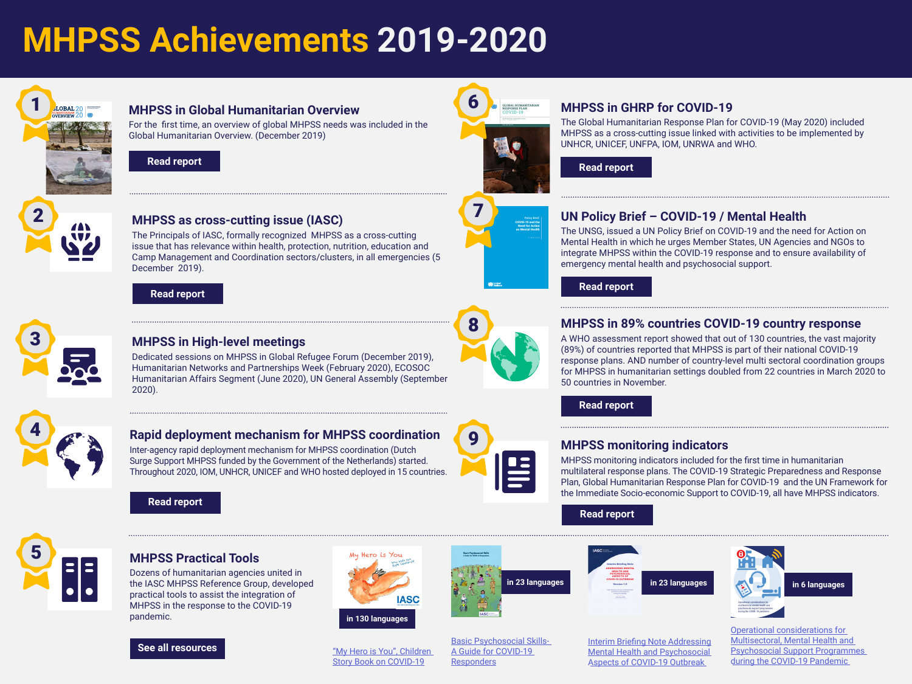# **MHPSS Achievements 2019-2020**



#### **MHPSS in Global Humanitarian Overview**

For the first time, an overview of global MHPSS needs was included in the Global Humanitarian Overview. (December 2019)

**[Read report](https://www.unocha.org/sites/unocha/files/GHO-2020_v9.1.pdf)**



COVID-19 and the Need for Action on Mental Health

### **MHPSS in GHRP for COVID-19**

The Global Humanitarian Response Plan for COVID-19 (May 2020) included MHPSS as a cross-cutting issue linked with activities to be implemented by UNHCR, UNICEF, UNFPA, IOM, UNRWA and WHO.

**[Read report](https://www.unocha.org/sites/unocha/files/GHRP-COVID19_May_Update.pdf)**



### **MHPSS as cross-cutting issue (IASC)**

The Principals of IASC, formally recognized MHPSS as a cross-cutting issue that has relevance within health, protection, nutrition, education and Camp Management and Coordination sectors/clusters, in all emergencies (5 December 2019).

**[Read report](https://interagencystandingcommittee.org/system/files/2020-01/Summary%20Record%20of%20IASC%20Principals%20Meeting%20-%205%20December_0.pdf)**



### **MHPSS in High-level meetings**

Dedicated sessions on MHPSS in Global Refugee Forum (December 2019), Humanitarian Networks and Partnerships Week (February 2020), ECOSOC Humanitarian Affairs Segment (June 2020), UN General Assembly (September 2020).



### **Rapid deployment mechanism for MHPSS coordination**

Inter-agency rapid deployment mechanism for MHPSS coordination (Dutch Surge Support MHPSS funded by the Government of the Netherlands) started. Throughout 2020, IOM, UNHCR, UNICEF and WHO hosted deployed in 15 countries.



**[See all resources](https://interagencystandingcommittee.org/mental-health-and-psychosocial-support-resources-covid-19)**



8

### **UN Policy Brief – COVID-19 / Mental Health**

The UNSG, issued a UN Policy Brief on COVID-19 and the need for Action on Mental Health in which he urges Member States, UN Agencies and NGOs to integrate MHPSS within the COVID-19 response and to ensure availability of emergency mental health and psychosocial support.

**[Read report](https://unsdg.un.org/sites/default/files/2020-05/UN-Policy-Brief-COVID-19-and-mental-health.pdf)**

### **MHPSS in 89% countries COVID-19 country response**

A WHO assessment report showed that out of 130 countries, the vast majority (89%) of countries reported that MHPSS is part of their national COVID-19 response plans. AND number of country-level multi sectoral coordination groups for MHPSS in humanitarian settings doubled from 22 countries in March 2020 to 50 countries in November.

**[Read report](https://www.who.int/publications/i/item/978924012455)**

### **MHPSS monitoring indicators**

MHPSS monitoring indicators included for the first time in humanitarian multilateral response plans. The COVID-19 Strategic Preparedness and Response Plan, Global Humanitarian Response Plan for COVID-19 and the UN Framework for the Immediate Socio-economic Support to COVID-19, all have MHPSS indicators.

**[Read report](https://reliefweb.int/report/world/global-humanitarian-response-plan-covid-19-april-december-2020-ghrp-may-update-abridged)**



#### **MHPSS Practical Tools**

Dozens of humanitarian agencies united in the IASC MHPSS Reference Group, developed practical tools to assist the integration of MHPSS in the response to the COVID-19 pandemic.









[Operational considerations for](https://interagencystandingcommittee.org/iasc-reference-group-mental-health-and-psychosocial-support-emergency-settings/iasc-guidance)  [Multisectoral](https://interagencystandingcommittee.org/iasc-reference-group-mental-health-and-psychosocial-support-emergency-settings/iasc-guidance), [Mental Health and](https://interagencystandingcommittee.org/iasc-reference-group-mental-health-and-psychosocial-support-emergency-settings/iasc-guidance)  [Psychosocial Support Programmes](https://interagencystandingcommittee.org/iasc-reference-group-mental-health-and-psychosocial-support-emergency-settings/iasc-guidance)  [during the COVID-19 Pandemic](https://interagencystandingcommittee.org/iasc-reference-group-mental-health-and-psychosocial-support-emergency-settings/iasc-guidance)



["My Hero is You", Children](https://interagencystandingcommittee.org/iasc-reference-group-mental-health-and-psychosocial-support-emergency-settings/my-hero-you)  [Story Book on COVID-19](https://interagencystandingcommittee.org/iasc-reference-group-mental-health-and-psychosocial-support-emergency-settings/my-hero-you)

[Basic Psychosocial Skills-](https://interagencystandingcommittee.org/iasc-reference-group-mental-health-and-psychosocial-support-emergency-settings/iasc-guidance-basic)[A Guide for COVID-19](https://interagencystandingcommittee.org/iasc-reference-group-mental-health-and-psychosocial-support-emergency-settings/iasc-guidance-basic)  **[Responders](https://interagencystandingcommittee.org/iasc-reference-group-mental-health-and-psychosocial-support-emergency-settings/iasc-guidance-basic)** 

[Interim Briefing Note Addressing](https://interagencystandingcommittee.org/iasc-reference-group-mental-health-and-psychosocial-support-emergency-settings/interim-briefing)  [Mental Health and Psychosocial](https://interagencystandingcommittee.org/iasc-reference-group-mental-health-and-psychosocial-support-emergency-settings/interim-briefing)  [Aspects of COVID-19 Outbreak](https://interagencystandingcommittee.org/iasc-reference-group-mental-health-and-psychosocial-support-emergency-settings/interim-briefing)